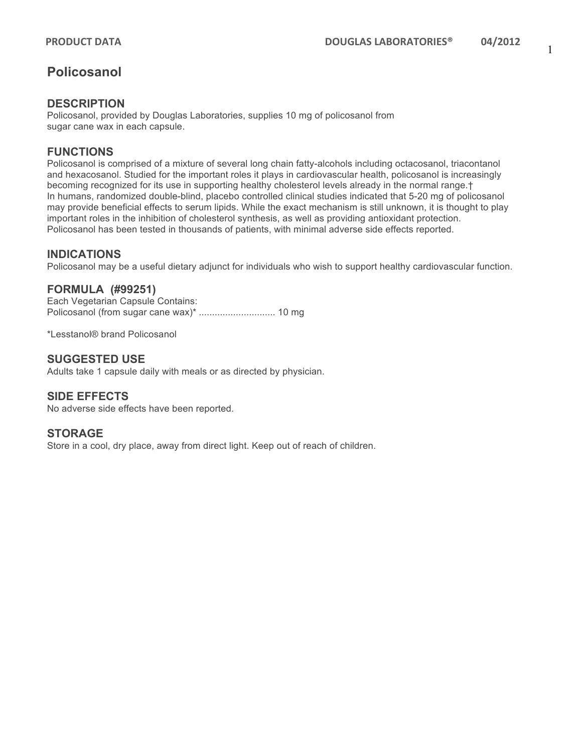1

## **Policosanol**

#### **DESCRIPTION**

Policosanol, provided by Douglas Laboratories, supplies 10 mg of policosanol from sugar cane wax in each capsule.

#### **FUNCTIONS**

Policosanol is comprised of a mixture of several long chain fatty-alcohols including octacosanol, triacontanol and hexacosanol. Studied for the important roles it plays in cardiovascular health, policosanol is increasingly becoming recognized for its use in supporting healthy cholesterol levels already in the normal range.† In humans, randomized double-blind, placebo controlled clinical studies indicated that 5-20 mg of policosanol may provide beneficial effects to serum lipids. While the exact mechanism is still unknown, it is thought to play important roles in the inhibition of cholesterol synthesis, as well as providing antioxidant protection. Policosanol has been tested in thousands of patients, with minimal adverse side effects reported.

#### **INDICATIONS**

Policosanol may be a useful dietary adjunct for individuals who wish to support healthy cardiovascular function.

#### **FORMULA (#99251)**

Each Vegetarian Capsule Contains: Policosanol (from sugar cane wax)\* ................................. 10 mg

\*Lesstanol® brand Policosanol

#### **SUGGESTED USE**

Adults take 1 capsule daily with meals or as directed by physician.

#### **SIDE EFFECTS**

No adverse side effects have been reported.

#### **STORAGE**

Store in a cool, dry place, away from direct light. Keep out of reach of children.